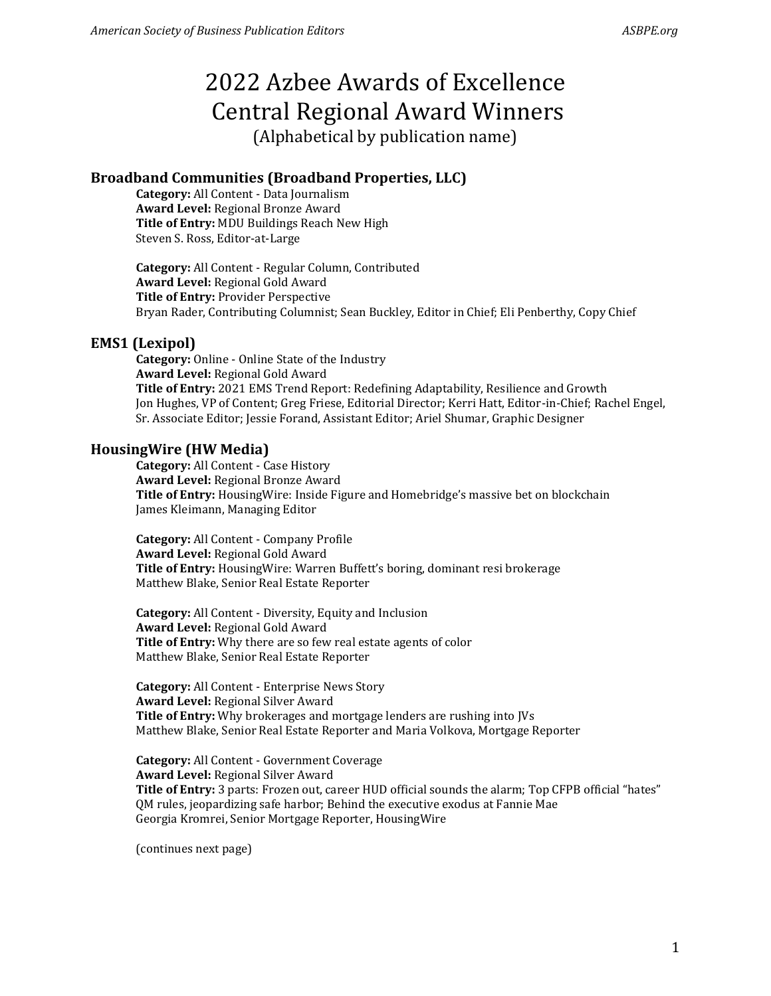# 2022 Azbee Awards of Excellence Central Regional Award Winners (Alphabetical by publication name)

## **Broadband Communities (Broadband Properties, LLC)**

**Category:** All Content - Data Journalism **Award Level:** Regional Bronze Award **Title of Entry:** MDU Buildings Reach New High Steven S. Ross, Editor-at-Large

**Category:** All Content - Regular Column, Contributed **Award Level:** Regional Gold Award **Title of Entry:** Provider Perspective Bryan Rader, Contributing Columnist; Sean Buckley, Editor in Chief; Eli Penberthy, Copy Chief

#### **EMS1 (Lexipol)**

**Category:** Online - Online State of the Industry **Award Level:** Regional Gold Award **Title of Entry:** 2021 EMS Trend Report: Redefining Adaptability, Resilience and Growth Jon Hughes, VP of Content; Greg Friese, Editorial Director; Kerri Hatt, Editor-in-Chief; Rachel Engel, Sr. Associate Editor; Jessie Forand, Assistant Editor; Ariel Shumar, Graphic Designer

#### **HousingWire (HW Media)**

**Category:** All Content - Case History **Award Level:** Regional Bronze Award **Title of Entry:** HousingWire: Inside Figure and Homebridge's massive bet on blockchain James Kleimann, Managing Editor

**Category:** All Content - Company Profile **Award Level:** Regional Gold Award **Title of Entry:** HousingWire: Warren Buffett's boring, dominant resi brokerage Matthew Blake, Senior Real Estate Reporter

**Category:** All Content - Diversity, Equity and Inclusion **Award Level:** Regional Gold Award **Title of Entry:** Why there are so few real estate agents of color Matthew Blake, Senior Real Estate Reporter

**Category:** All Content - Enterprise News Story **Award Level:** Regional Silver Award **Title of Entry:** Why brokerages and mortgage lenders are rushing into JVs Matthew Blake, Senior Real Estate Reporter and Maria Volkova, Mortgage Reporter

**Category:** All Content - Government Coverage **Award Level:** Regional Silver Award **Title of Entry:** 3 parts: Frozen out, career HUD official sounds the alarm; Top CFPB official "hates" QM rules, jeopardizing safe harbor; Behind the executive exodus at Fannie Mae Georgia Kromrei, Senior Mortgage Reporter, HousingWire

(continues next page)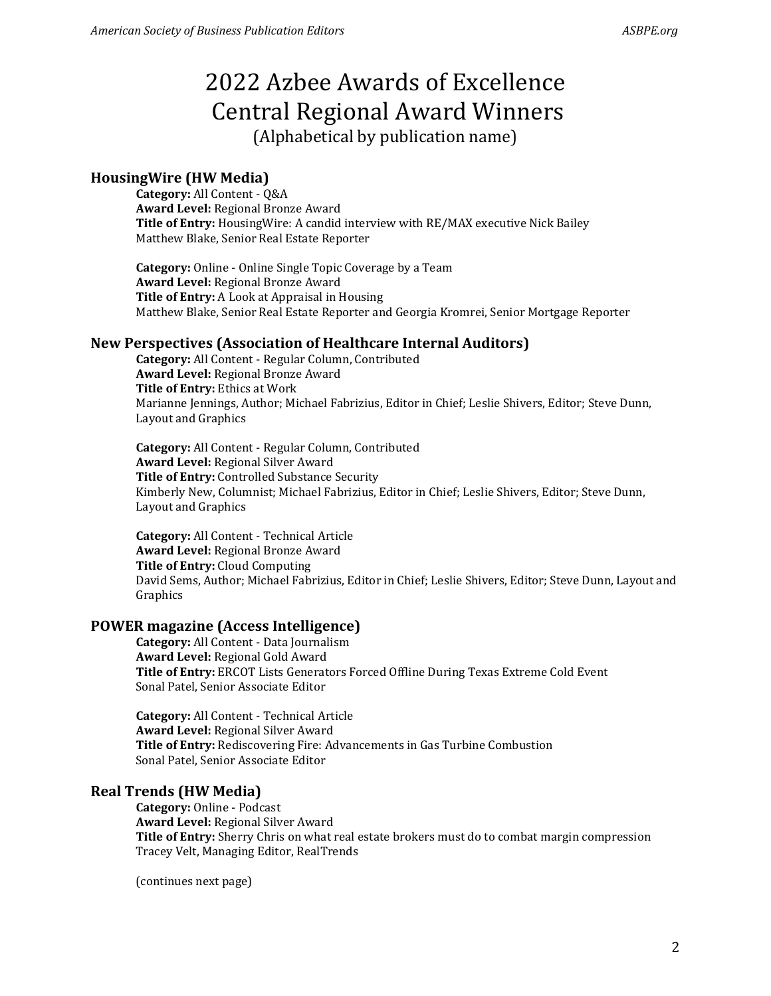# 2022 Azbee Awards of Excellence Central Regional Award Winners (Alphabetical by publication name)

## **HousingWire (HW Media)**

**Category:** All Content - Q&A **Award Level:** Regional Bronze Award **Title of Entry:** HousingWire: A candid interview with RE/MAX executive Nick Bailey Matthew Blake, Senior Real Estate Reporter

**Category:** Online - Online Single Topic Coverage by a Team **Award Level:** Regional Bronze Award **Title of Entry:** A Look at Appraisal in Housing Matthew Blake, Senior Real Estate Reporter and Georgia Kromrei, Senior Mortgage Reporter

## **New Perspectives (Association of Healthcare Internal Auditors)**

**Category:** All Content - Regular Column, Contributed **Award Level:** Regional Bronze Award **Title of Entry:** Ethics at Work Marianne Jennings, Author; Michael Fabrizius, Editor in Chief; Leslie Shivers, Editor; Steve Dunn, Layout and Graphics

**Category:** All Content - Regular Column, Contributed **Award Level:** Regional Silver Award **Title of Entry:** Controlled Substance Security Kimberly New, Columnist; Michael Fabrizius, Editor in Chief; Leslie Shivers, Editor; Steve Dunn, Layout and Graphics

**Category:** All Content - Technical Article **Award Level:** Regional Bronze Award **Title of Entry:** Cloud Computing David Sems, Author; Michael Fabrizius, Editor in Chief; Leslie Shivers, Editor; Steve Dunn, Layout and Graphics

## **POWER magazine (Access Intelligence)**

**Category:** All Content - Data Journalism **Award Level:** Regional Gold Award **Title of Entry:** ERCOT Lists Generators Forced Offline During Texas Extreme Cold Event Sonal Patel, Senior Associate Editor

**Category:** All Content - Technical Article **Award Level:** Regional Silver Award **Title of Entry:** Rediscovering Fire: Advancements in Gas Turbine Combustion Sonal Patel, Senior Associate Editor

## **Real Trends (HW Media)**

**Category:** Online - Podcast **Award Level:** Regional Silver Award **Title of Entry:** Sherry Chris on what real estate brokers must do to combat margin compression Tracey Velt, Managing Editor, RealTrends

(continues next page)